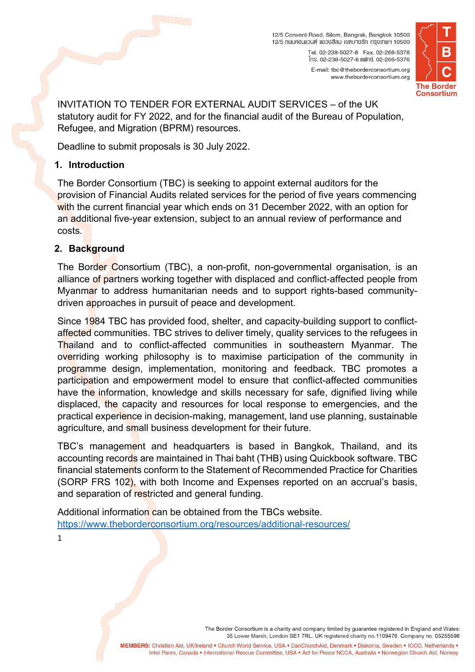12/5 Convent Road, Silom, Bangrak, Bangkok 10500 12/5 กนนคอนแวนต์ แขวงสีลม เขตบางรัก กรุงเทพฯ 10500 โทร. 02-238-5027-8 แฟกซ์. 02-266-5376 E-mail: tbc@theborderconsortium.org



INVITATION TO TENDER FOR EXTERNAL AUDIT SERVICES – of the UK statutory audit for FY 2022, and for the financial audit of the Bureau of Population, Refugee, and Migration (BPRM) resources.

Deadline to submit proposals is 30 July 2022.

#### **1. Introduction**

The Border Consortium (TBC) is seeking to appoint external auditors for the provision of Financial Audits related services for the period of five years commencing with the current financial year which ends on 31 December 2022, with an option for an additional five-year extension, subject to an annual review of performance and costs.

## **2. Background**

The Border Consortium (TBC), a non-profit, non-governmental organisation, is an alliance of partners working together with displaced and conflict-affected people from Myanmar to address humanitarian needs and to support rights-based communitydriven approaches in pursuit of peace and development.

Since 1984 TBC has provided food, shelter, and capacity-building support to conflictaffected communities. TBC strives to deliver timely, quality services to the refugees in Thailand and to conflict-affected communities in southeastern Myanmar. The overriding working philosophy is to maximise participation of the community in programme design, implementation, monitoring and feedback. TBC promotes a participation and empowerment model to ensure that conflict-affected communities have the information, knowledge and skills necessary for safe, dignified living while displaced, the capacity and resources for local response to emergencies, and the practical experience in decision-making, management, land use planning, sustainable agriculture, and small business development for their future.

TBC's management and headquarters is based in Bangkok, Thailand, and its accounting records are maintained in Thai baht (THB) using Quickbook software. TBC financial statements conform to the Statement of Recommended Practice for Charities (SORP FRS 102), with both Income and Expenses reported on an accrual's basis, and separation of restricted and general funding.

Additional information can be obtained from the TBCs website. <https://www.theborderconsortium.org/resources/additional-resources/>

1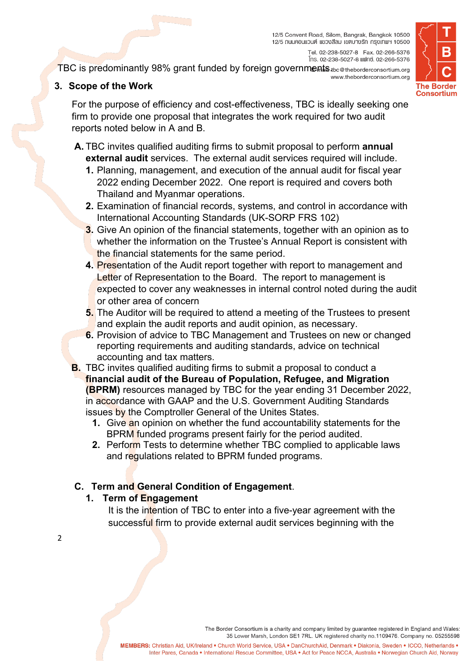12/5 Convent Road, Silom, Bangrak, Bangkok 10500 12/5 กนนคอนแวนต์ แขวงสีลม เขตบางรัก กรุงเทพฯ 10500



โทร. 02-238-5027-8 แฟกซ์. 02-266-5376 TBC is predominantly 98% grant funded by foreign governments the @theborderconsortium.org www.theborderconsortium.org

# **3. Scope of the Work**

For the purpose of efficiency and cost-effectiveness, TBC is ideally seeking one firm to provide one proposal that integrates the work required for two audit reports noted below in A and B.

- **A.** TBC invites qualified auditing firms to submit proposal to perform **annual external audit** services. The external audit services required will include.
	- **1.** Planning, management, and execution of the annual audit for fiscal year 2022 ending December 2022. One report is required and covers both Thailand and Myanmar operations.
	- **2.** Examination of financial records, systems, and control in accordance with International Accounting Standards (UK-SORP FRS 102)
	- **3.** Give An opinion of the financial statements, together with an opinion as to whether the information on the Trustee's Annual Report is consistent with the financial statements for the same period.
	- **4.** Presentation of the Audit report together with report to management and Letter of Representation to the Board. The report to management is expected to cover any weaknesses in internal control noted during the audit or other area of concern
	- **5.** The Auditor will be required to attend a meeting of the Trustees to present and explain the audit reports and audit opinion, as necessary.
	- **6.** Provision of advice to TBC Management and Trustees on new or changed reporting requirements and auditing standards, advice on technical accounting and tax matters.
- **B.** TBC invites qualified auditing firms to submit a proposal to conduct a **financial audit of the Bureau of Population, Refugee, and Migration (BPRM)** resources managed by TBC for the year ending 31 December 2022, in accordance with GAAP and the U.S. Government Auditing Standards issues by the Comptroller General of the Unites States.
	- **1.** Give an opinion on whether the fund accountability statements for the BPRM funded programs present fairly for the period audited.
	- **2.** Perform Tests to determine whether TBC complied to applicable laws and regulations related to BPRM funded programs.

## **C. Term and General Condition of Engagement**.

## **1. Term of Engagement**

2

It is the intention of TBC to enter into a five-year agreement with the successful firm to provide external audit services beginning with the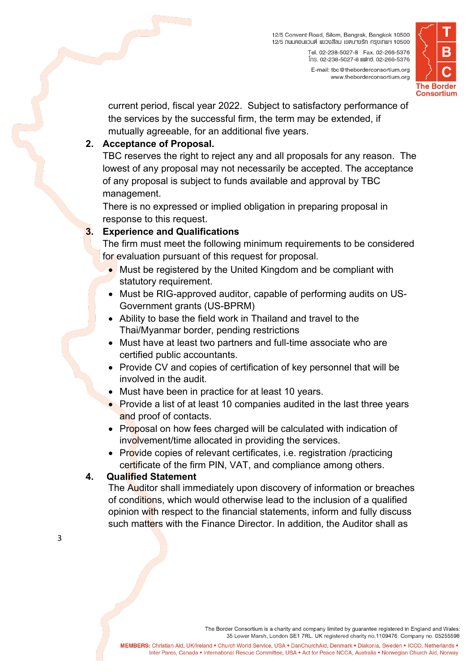

current period, fiscal year 2022. Subject to satisfactory performance of the services by the successful firm, the term may be extended, if mutually agreeable, for an additional five years.

#### **2. Acceptance of Proposal.**

TBC reserves the right to reject any and all proposals for any reason. The lowest of any proposal may not necessarily be accepted. The acceptance of any proposal is subject to funds available and approval by TBC management.

There is no expressed or implied obligation in preparing proposal in response to this request.

## **3. Experience and Qualifications**

The firm must meet the following minimum requirements to be considered for evaluation pursuant of this request for proposal.

- Must be registered by the United Kingdom and be compliant with statutory requirement.
- Must be RIG-approved auditor, capable of performing audits on US-Government grants (US-BPRM)
- Ability to base the field work in Thailand and travel to the Thai/Myanmar border, pending restrictions
- Must have at least two partners and full-time associate who are certified public accountants.
- Provide CV and copies of certification of key personnel that will be involved in the audit.
- Must have been in practice for at least 10 years.
- Provide a list of at least 10 companies audited in the last three years and proof of contacts.
- Proposal on how fees charged will be calculated with indication of involvement/time allocated in providing the services.
- Provide copies of relevant certificates, i.e. registration /practicing certificate of the firm PIN, VAT, and compliance among others.

## **4. Qualified Statement**

The Auditor shall immediately upon discovery of information or breaches of conditions, which would otherwise lead to the inclusion of a qualified opinion with respect to the financial statements, inform and fully discuss such matters with the Finance Director. In addition, the Auditor shall as

3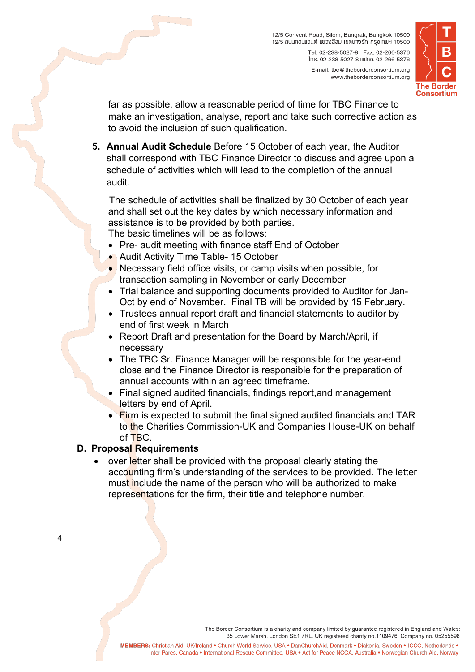12/5 Convent Road, Silom, Bangrak, Bangkok 10500 12/5 กนนคอนแวนต์ แขวงสีลม เขตบางรัก กรุงเทพฯ 10500 โทร. 02-238-5027-8 แฟกซ์. 02-266-5376 E-mail: tbc@theborderconsortium.org www.theborderconsortium.org



far as possible, allow a reasonable period of time for TBC Finance to make an investigation, analyse, report and take such corrective action as to avoid the inclusion of such qualification.

**5. Annual Audit Schedule** Before 15 October of each year, the Auditor shall correspond with TBC Finance Director to discuss and agree upon a schedule of activities which will lead to the completion of the annual audit.

The schedule of activities shall be finalized by 30 October of each year and shall set out the key dates by which necessary information and assistance is to be provided by both parties. The basic timelines will be as follows:

• Pre- audit meeting with finance staff End of October

- Audit Activity Time Table- 15 October
- Necessary field office visits, or camp visits when possible, for transaction sampling in November or early December
- Trial balance and supporting documents provided to Auditor for Jan-Oct by end of November. Final TB will be provided by 15 February.
- Trustees annual report draft and financial statements to auditor by end of first week in March
- Report Draft and presentation for the Board by March/April, if necessary
- The TBC Sr. Finance Manager will be responsible for the year-end close and the Finance Director is responsible for the preparation of annual accounts within an agreed timeframe.
- Final signed audited financials, findings report,and management letters by end of April.
- Firm is expected to submit the final signed audited financials and TAR to the Charities Commission-UK and Companies House-UK on behalf of TBC.

#### **D. Proposal Requirements**

• over letter shall be provided with the proposal clearly stating the accounting firm's understanding of the services to be provided. The letter must include the name of the person who will be authorized to make representations for the firm, their title and telephone number.

 $\Delta$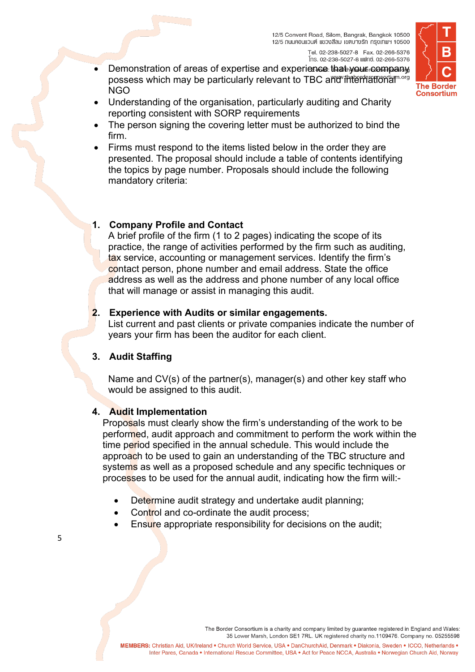

- โทร. 02-238-5027-8 แฟกซ์. 02-266-5376 Demonstration of areas of expertise and experience that your company possess which may be particularly relevant to TBC and international more NGO
- Understanding of the organisation, particularly auditing and Charity reporting consistent with SORP requirements
- The person signing the covering letter must be authorized to bind the firm.
- Firms must respond to the items listed below in the order they are presented. The proposal should include a table of contents identifying the topics by page number. Proposals should include the following mandatory criteria:

## **1. Company Profile and Contact**

A brief profile of the firm (1 to 2 pages) indicating the scope of its practice, the range of activities performed by the firm such as auditing, tax service, accounting or management services. Identify the firm's contact person, phone number and email address. State the office address as well as the address and phone number of any local office that will manage or assist in managing this audit.

#### **2. Experience with Audits or similar engagements.**

List current and past clients or private companies indicate the number of years your firm has been the auditor for each client.

## **3. Audit Staffing**

Name and CV(s) of the partner(s), manager(s) and other key staff who would be assigned to this audit.

## **4. Audit Implementation**

Proposals must clearly show the firm's understanding of the work to be performed, audit approach and commitment to perform the work within the time period specified in the annual schedule. This would include the approach to be used to gain an understanding of the TBC structure and systems as well as a proposed schedule and any specific techniques or processes to be used for the annual audit, indicating how the firm will:-

- Determine audit strategy and undertake audit planning;
- Control and co-ordinate the audit process;
- Ensure appropriate responsibility for decisions on the audit;

5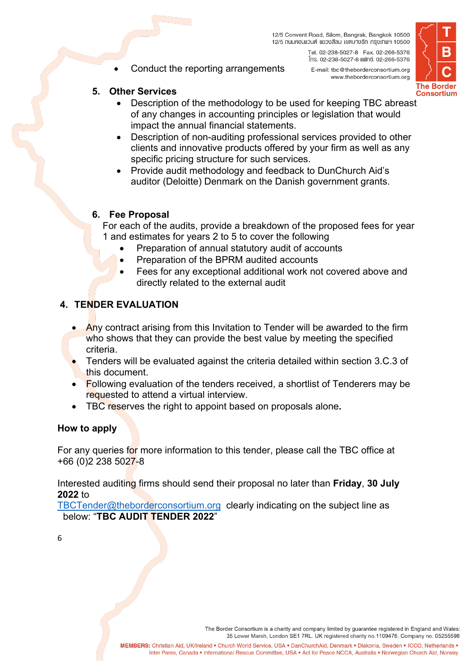Conduct the reporting arrangements



#### **5. Other Services**

- Description of the methodology to be used for keeping TBC abreast of any changes in accounting principles or legislation that would impact the annual financial statements.
- Description of non-auditing professional services provided to other clients and innovative products offered by your firm as well as any specific pricing structure for such services.
- Provide audit methodology and feedback to DunChurch Aid's auditor (Deloitte) Denmark on the Danish government grants.

#### **6. Fee Proposal**

- For each of the audits, provide a breakdown of the proposed fees for year 1 and estimates for years 2 to 5 to cover the following
	- Preparation of annual statutory audit of accounts
	- Preparation of the BPRM audited accounts
	- Fees for any exceptional additional work not covered above and directly related to the external audit

## **4. TENDER EVALUATION**

- Any contract arising from this Invitation to Tender will be awarded to the firm who shows that they can provide the best value by meeting the specified criteria.
- Tenders will be evaluated against the criteria detailed within section 3.C.3 of this document.
- Following evaluation of the tenders received, a shortlist of Tenderers may be requested to attend a virtual interview.
- TBC reserves the right to appoint based on proposals alone**.**

#### **How to apply**

For any queries for more information to this tender, please call the TBC office at +66 (0)2 238 5027-8

Interested auditing firms should send their proposal no later than **Friday**, **30 July 2022** to

[TBCTender@theborderconsortium.org](mailto:TBCTender@theborderconsortium.org) clearly indicating on the subject line as below: "**TBC AUDIT TENDER 2022**"

6